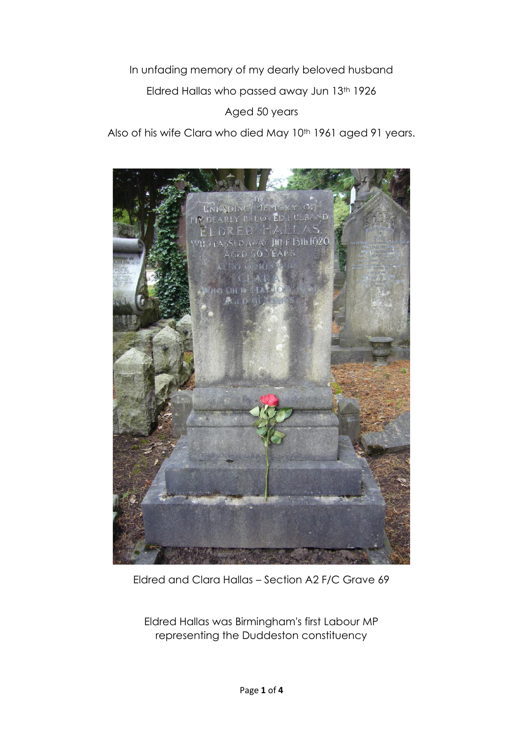In unfading memory of my dearly beloved husband

Eldred Hallas who passed away Jun 13th 1926

Aged 50 years

Also of his wife Clara who died May 10<sup>th</sup> 1961 aged 91 years.



Eldred and Clara Hallas – Section A2 F/C Grave 69

Eldred Hallas was Birmingham's first Labour MP representing the Duddeston constituency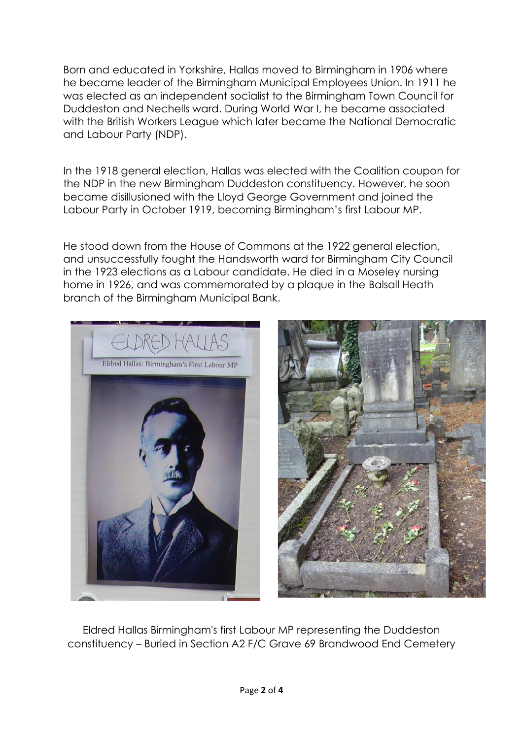Born and educated in Yorkshire, Hallas moved to [Birmingham](https://en.wikipedia.org/wiki/Birmingham) in 1906 where he became leader of the Birmingham Municipal Employees Union. In 1911 he was elected as an independent [socialist](https://en.wikipedia.org/wiki/Socialist) to the Birmingham Town Council for [Duddeston](https://en.wikipedia.org/wiki/Duddeston) and [Nechells](https://en.wikipedia.org/wiki/Nechells) ward. During World War I, he became associated with the [British Workers League](https://en.wikipedia.org/wiki/British_Workers_League) which later became the [National Democratic](https://en.wikipedia.org/wiki/National_Democratic_and_Labour_Party)  [and Labour Party](https://en.wikipedia.org/wiki/National_Democratic_and_Labour_Party) (NDP).

In the [1918 general election,](https://en.wikipedia.org/wiki/1918_United_Kingdom_general_election) Hallas was elected with the [Coalition coupon](https://en.wikipedia.org/wiki/Coalition_coupon) for the NDP in the new [Birmingham Duddeston](https://en.wikipedia.org/wiki/Birmingham_Duddeston_(UK_Parliament_constituency)) constituency. However, he soon became disillusioned with the [Lloyd George](https://en.wikipedia.org/wiki/David_Lloyd_George) Government and joined the [Labour Party](https://en.wikipedia.org/wiki/Labour_Party_(UK)) in October 1919, becoming Birmingham's first Labour MP.

He stood down from the [House of Commons](https://en.wikipedia.org/wiki/House_of_Commons_of_the_United_Kingdom) at the [1922 general election,](https://en.wikipedia.org/wiki/1922_United_Kingdom_general_election) and unsuccessfully fought the [Handsworth](https://en.wikipedia.org/wiki/Handsworth,_West_Midlands) ward for Birmingham City Council in the 1923 elections as a Labour candidate. He died in a [Moseley](https://en.wikipedia.org/wiki/Moseley) nursing home in 1926, and was commemorated by a plaque in the [Balsall Heath](https://en.wikipedia.org/wiki/Balsall_Heath) branch of the [Birmingham Municipal Bank.](https://en.wikipedia.org/wiki/Birmingham_Municipal_Bank)



Eldred Hallas Birmingham's first Labour MP representing the Duddeston constituency – Buried in Section A2 F/C Grave 69 Brandwood End Cemetery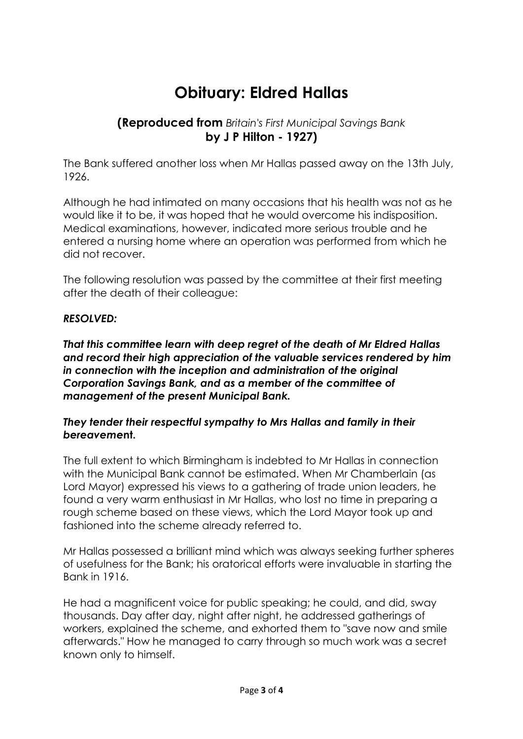## **Obituary: Eldred Hallas**

## **(Reproduced from** *Britain's First Municipal Savings Bank* **by J P Hilton - 1927)**

The Bank suffered another loss when Mr Hallas passed away on the 13th July, 1926.

Although he had intimated on many occasions that his health was not as he would like it to be, it was hoped that he would overcome his indisposition. Medical examinations, however, indicated more serious trouble and he entered a nursing home where an operation was performed from which he did not recover.

The following resolution was passed by the committee at their first meeting after the death of their colleague:

## *RESOLVED:*

*That this committee learn with deep regret of the death of Mr Eldred Hallas and record their high appreciation of the valuable services rendered by him in connection with the inception and administration of the original Corporation Savings Bank, and as a member of the committee of management of the present Municipal Bank.*

## *They tender their respectful sympathy to Mrs Hallas and family in their bereaveme***nt.**

The full extent to which Birmingham is indebted to Mr Hallas in connection with the Municipal Bank cannot be estimated. When Mr Chamberlain (as Lord Mayor) expressed his views to a gathering of trade union leaders, he found a very warm enthusiast in Mr Hallas, who lost no time in preparing a rough scheme based on these views, which the Lord Mayor took up and fashioned into the scheme already referred to.

Mr Hallas possessed a brilliant mind which was always seeking further spheres of usefulness for the Bank; his oratorical efforts were invaluable in starting the Bank in 1916.

He had a magnificent voice for public speaking; he could, and did, sway thousands. Day after day, night after night, he addressed gatherings of workers, explained the scheme, and exhorted them to "save now and smile afterwards." How he managed to carry through so much work was a secret known only to himself.